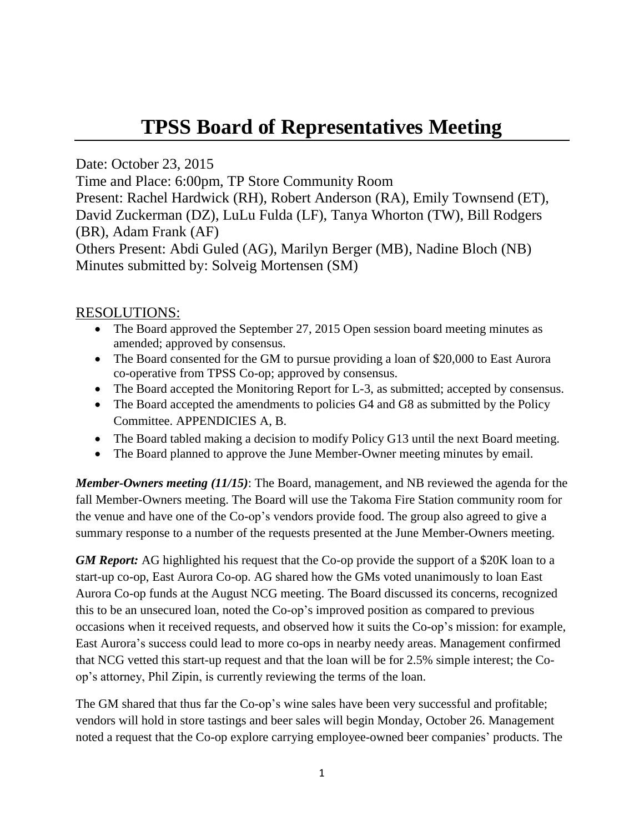## **TPSS Board of Representatives Meeting**

Date: October 23, 2015

Time and Place: 6:00pm, TP Store Community Room

Present: Rachel Hardwick (RH), Robert Anderson (RA), Emily Townsend (ET), David Zuckerman (DZ), LuLu Fulda (LF), Tanya Whorton (TW), Bill Rodgers (BR), Adam Frank (AF)

Others Present: Abdi Guled (AG), Marilyn Berger (MB), Nadine Bloch (NB) Minutes submitted by: Solveig Mortensen (SM)

## RESOLUTIONS:

- The Board approved the September 27, 2015 Open session board meeting minutes as amended; approved by consensus.
- The Board consented for the GM to pursue providing a loan of \$20,000 to East Aurora co-operative from TPSS Co-op; approved by consensus.
- The Board accepted the Monitoring Report for L-3, as submitted; accepted by consensus.
- The Board accepted the amendments to policies G4 and G8 as submitted by the Policy Committee. APPENDICIES A, B.
- The Board tabled making a decision to modify Policy G13 until the next Board meeting.
- The Board planned to approve the June Member-Owner meeting minutes by email.

*Member-Owners meeting (11/15)*: The Board, management, and NB reviewed the agenda for the fall Member-Owners meeting. The Board will use the Takoma Fire Station community room for the venue and have one of the Co-op's vendors provide food. The group also agreed to give a summary response to a number of the requests presented at the June Member-Owners meeting.

*GM Report:* AG highlighted his request that the Co-op provide the support of a \$20K loan to a start-up co-op, East Aurora Co-op. AG shared how the GMs voted unanimously to loan East Aurora Co-op funds at the August NCG meeting. The Board discussed its concerns, recognized this to be an unsecured loan, noted the Co-op's improved position as compared to previous occasions when it received requests, and observed how it suits the Co-op's mission: for example, East Aurora's success could lead to more co-ops in nearby needy areas. Management confirmed that NCG vetted this start-up request and that the loan will be for 2.5% simple interest; the Coop's attorney, Phil Zipin, is currently reviewing the terms of the loan.

The GM shared that thus far the Co-op's wine sales have been very successful and profitable; vendors will hold in store tastings and beer sales will begin Monday, October 26. Management noted a request that the Co-op explore carrying employee-owned beer companies' products. The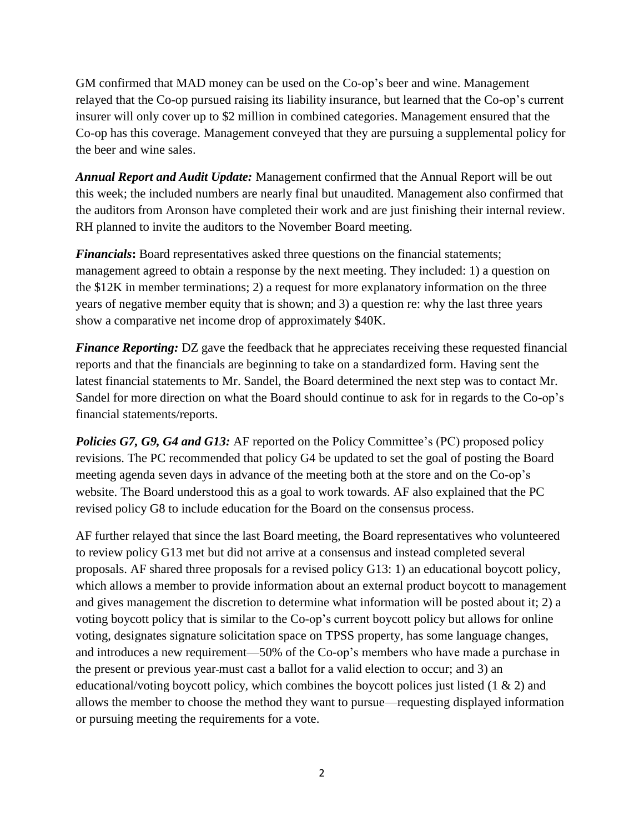GM confirmed that MAD money can be used on the Co-op's beer and wine. Management relayed that the Co-op pursued raising its liability insurance, but learned that the Co-op's current insurer will only cover up to \$2 million in combined categories. Management ensured that the Co-op has this coverage. Management conveyed that they are pursuing a supplemental policy for the beer and wine sales.

*Annual Report and Audit Update:* Management confirmed that the Annual Report will be out this week; the included numbers are nearly final but unaudited. Management also confirmed that the auditors from Aronson have completed their work and are just finishing their internal review. RH planned to invite the auditors to the November Board meeting.

*Financials***:** Board representatives asked three questions on the financial statements; management agreed to obtain a response by the next meeting. They included: 1) a question on the \$12K in member terminations; 2) a request for more explanatory information on the three years of negative member equity that is shown; and 3) a question re: why the last three years show a comparative net income drop of approximately \$40K.

*Finance Reporting:* DZ gave the feedback that he appreciates receiving these requested financial reports and that the financials are beginning to take on a standardized form. Having sent the latest financial statements to Mr. Sandel, the Board determined the next step was to contact Mr. Sandel for more direction on what the Board should continue to ask for in regards to the Co-op's financial statements/reports.

*Policies G7, G9, G4 and G13:* AF reported on the Policy Committee's (PC) proposed policy revisions. The PC recommended that policy G4 be updated to set the goal of posting the Board meeting agenda seven days in advance of the meeting both at the store and on the Co-op's website. The Board understood this as a goal to work towards. AF also explained that the PC revised policy G8 to include education for the Board on the consensus process.

AF further relayed that since the last Board meeting, the Board representatives who volunteered to review policy G13 met but did not arrive at a consensus and instead completed several proposals. AF shared three proposals for a revised policy G13: 1) an educational boycott policy, which allows a member to provide information about an external product boycott to management and gives management the discretion to determine what information will be posted about it; 2) a voting boycott policy that is similar to the Co-op's current boycott policy but allows for online voting, designates signature solicitation space on TPSS property, has some language changes, and introduces a new requirement—50% of the Co-op's members who have made a purchase in the present or previous year must cast a ballot for a valid election to occur; and 3) an educational/voting boycott policy, which combines the boycott polices just listed (1 & 2) and allows the member to choose the method they want to pursue—requesting displayed information or pursuing meeting the requirements for a vote.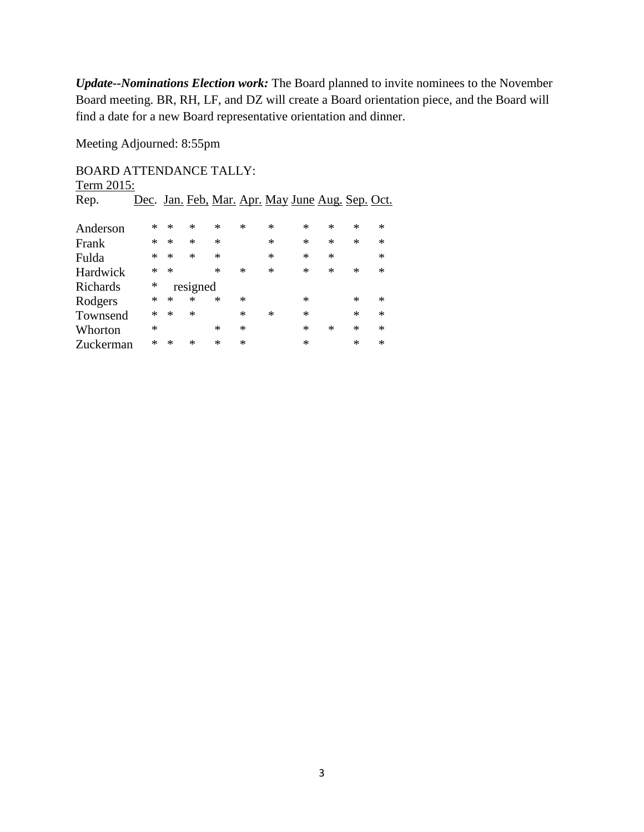*Update--Nominations Election work:* The Board planned to invite nominees to the November Board meeting. BR, RH, LF, and DZ will create a Board orientation piece, and the Board will find a date for a new Board representative orientation and dinner.

Meeting Adjourned: 8:55pm

## BOARD ATTENDANCE TALLY: Term  $2015$

| $1$ citile $2013$ . |        |          |        |        |        |        |                                                  |        |        |        |
|---------------------|--------|----------|--------|--------|--------|--------|--------------------------------------------------|--------|--------|--------|
| Rep.                |        |          |        |        |        |        | Dec. Jan. Feb. Mar. Apr. May June Aug. Sep. Oct. |        |        |        |
|                     |        |          |        |        |        |        |                                                  |        |        |        |
| Anderson            | *      | ∗        | ∗      | $\ast$ | $\ast$ | $\ast$ | $\ast$                                           | $\ast$ | $\ast$ | $\ast$ |
| Frank               | *      | $\ast$   | $\ast$ | ∗      |        | $\ast$ | $\ast$                                           | ∗      | $\ast$ | ∗      |
| Fulda               | $\ast$ | $\ast$   | $\ast$ | ∗      |        | $\ast$ | $\ast$                                           | $\ast$ |        | ∗      |
| Hardwick            | *      | $\ast$   |        | $\ast$ | $\ast$ | $\ast$ | $\ast$                                           | $\ast$ | ∗      | $\ast$ |
| <b>Richards</b>     | *      | resigned |        |        |        |        |                                                  |        |        |        |
| Rodgers             | *      | ∗        | $\ast$ | $\ast$ | $\ast$ |        | ∗                                                |        | $\ast$ | ∗      |
| Townsend            | $\ast$ | $\ast$   | $\ast$ |        | $\ast$ | $\ast$ | $\ast$                                           |        | $\ast$ | $\ast$ |
| Whorton             | $\ast$ |          |        | ∗      | $\ast$ |        | ∗                                                | $\ast$ | $\ast$ | $\ast$ |
| Zuckerman           | *      | ∗        | ∗      | $\ast$ | $\ast$ |        | ∗                                                |        | $\ast$ | ∗      |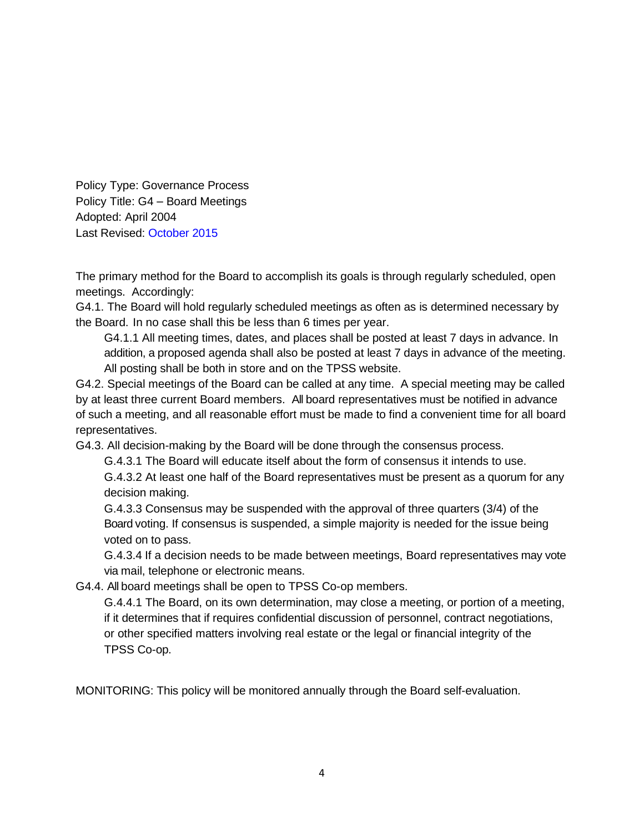Policy Type: Governance Process Policy Title: G4 – Board Meetings Adopted: April 2004 Last Revised: October 2015

The primary method for the Board to accomplish its goals is through regularly scheduled, open meetings. Accordingly:

G4.1. The Board will hold regularly scheduled meetings as often as is determined necessary by the Board. In no case shall this be less than 6 times per year.

G4.1.1 All meeting times, dates, and places shall be posted at least 7 days in advance. In addition, a proposed agenda shall also be posted at least 7 days in advance of the meeting. All posting shall be both in store and on the TPSS website.

G4.2. Special meetings of the Board can be called at any time. A special meeting may be called by at least three current Board members. All board representatives must be notified in advance of such a meeting, and all reasonable effort must be made to find a convenient time for all board representatives.

G4.3. All decision-making by the Board will be done through the consensus process.

G.4.3.1 The Board will educate itself about the form of consensus it intends to use.

G.4.3.2 At least one half of the Board representatives must be present as a quorum for any decision making.

G.4.3.3 Consensus may be suspended with the approval of three quarters (3/4) of the Board voting. If consensus is suspended, a simple majority is needed for the issue being voted on to pass.

G.4.3.4 If a decision needs to be made between meetings, Board representatives may vote via mail, telephone or electronic means.

G4.4. All board meetings shall be open to TPSS Co-op members.

G.4.4.1 The Board, on its own determination, may close a meeting, or portion of a meeting, if it determines that if requires confidential discussion of personnel, contract negotiations, or other specified matters involving real estate or the legal or financial integrity of the TPSS Co-op.

MONITORING: This policy will be monitored annually through the Board self-evaluation.